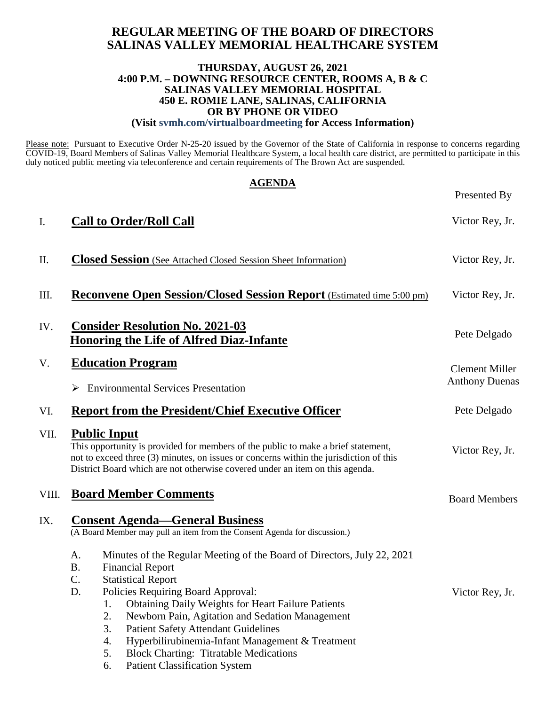# **REGULAR MEETING OF THE BOARD OF DIRECTORS SALINAS VALLEY MEMORIAL HEALTHCARE SYSTEM**

### **THURSDAY, AUGUST 26, 2021 4:00 P.M. – DOWNING RESOURCE CENTER, ROOMS A, B & C SALINAS VALLEY MEMORIAL HOSPITAL 450 E. ROMIE LANE, SALINAS, CALIFORNIA OR BY PHONE OR VIDEO (Visit svmh.com/virtualboardmeeting for Access Information)**

Please note: Pursuant to Executive Order N-25-20 issued by the Governor of the State of California in response to concerns regarding COVID-19, Board Members of Salinas Valley Memorial Healthcare System, a local health care district, are permitted to participate in this duly noticed public meeting via teleconference and certain requirements of The Brown Act are suspended.

| <b>AGENDA</b> |                                                                                                                                                                                                                                                                                    |                       |  |
|---------------|------------------------------------------------------------------------------------------------------------------------------------------------------------------------------------------------------------------------------------------------------------------------------------|-----------------------|--|
|               |                                                                                                                                                                                                                                                                                    | Presented By          |  |
| I.            | <b>Call to Order/Roll Call</b>                                                                                                                                                                                                                                                     | Victor Rey, Jr.       |  |
| П.            | <b>Closed Session</b> (See Attached Closed Session Sheet Information)                                                                                                                                                                                                              | Victor Rey, Jr.       |  |
| Ш.            | <b>Reconvene Open Session/Closed Session Report</b> (Estimated time 5:00 pm)                                                                                                                                                                                                       | Victor Rey, Jr.       |  |
| IV.           | <b>Consider Resolution No. 2021-03</b><br><b>Honoring the Life of Alfred Diaz-Infante</b>                                                                                                                                                                                          | Pete Delgado          |  |
| V.            | <b>Education Program</b>                                                                                                                                                                                                                                                           | <b>Clement Miller</b> |  |
|               | <b>Environmental Services Presentation</b><br>➤                                                                                                                                                                                                                                    | <b>Anthony Duenas</b> |  |
| VI.           | <b>Report from the President/Chief Executive Officer</b>                                                                                                                                                                                                                           | Pete Delgado          |  |
| VII.          | <b>Public Input</b><br>This opportunity is provided for members of the public to make a brief statement,<br>not to exceed three (3) minutes, on issues or concerns within the jurisdiction of this<br>District Board which are not otherwise covered under an item on this agenda. | Victor Rey, Jr.       |  |
| VIII.         | <b>Board Member Comments</b>                                                                                                                                                                                                                                                       | <b>Board Members</b>  |  |
| IX.           | <b>Consent Agenda–General Business</b><br>(A Board Member may pull an item from the Consent Agenda for discussion.)                                                                                                                                                                |                       |  |
|               | A.<br>Minutes of the Regular Meeting of the Board of Directors, July 22, 2021                                                                                                                                                                                                      |                       |  |
|               | <b>B.</b><br><b>Financial Report</b><br>C.<br><b>Statistical Report</b>                                                                                                                                                                                                            |                       |  |
|               | Policies Requiring Board Approval:<br>D.                                                                                                                                                                                                                                           | Victor Rey, Jr.       |  |
|               | <b>Obtaining Daily Weights for Heart Failure Patients</b><br>1.                                                                                                                                                                                                                    |                       |  |
|               | 2.<br>Newborn Pain, Agitation and Sedation Management                                                                                                                                                                                                                              |                       |  |
|               | 3.<br><b>Patient Safety Attendant Guidelines</b><br>Hyperbilirubinemia-Infant Management & Treatment<br>4.                                                                                                                                                                         |                       |  |
|               | 5.<br><b>Block Charting: Titratable Medications</b>                                                                                                                                                                                                                                |                       |  |
|               | <b>Patient Classification System</b><br>6.                                                                                                                                                                                                                                         |                       |  |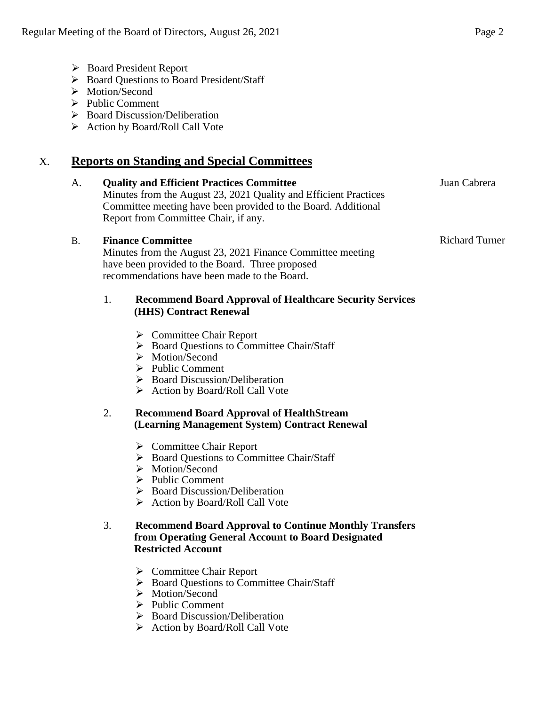- Board President Report
- ▶ Board Questions to Board President/Staff
- > Motion/Second
- $\triangleright$  Public Comment
- $\triangleright$  Board Discussion/Deliberation
- ▶ Action by Board/Roll Call Vote

# X. **Reports on Standing and Special Committees**

#### A. **Quality and Efficient Practices Committee** Minutes from the August 23, 2021 Quality and Efficient Practices

Committee meeting have been provided to the Board. Additional Report from Committee Chair, if any.

## B. **Finance Committee**

Minutes from the August 23, 2021 Finance Committee meeting have been provided to the Board. Three proposed recommendations have been made to the Board.

### 1. **Recommend Board Approval of Healthcare Security Services (HHS) Contract Renewal**

- **►** Committee Chair Report
- ▶ Board Questions to Committee Chair/Staff
- $\triangleright$  Motion/Second
- $\triangleright$  Public Comment
- $\triangleright$  Board Discussion/Deliberation
- $\triangleright$  Action by Board/Roll Call Vote

### 2. **Recommend Board Approval of HealthStream (Learning Management System) Contract Renewal**

- Committee Chair Report
- $\triangleright$  Board Ouestions to Committee Chair/Staff
- > Motion/Second
- $\triangleright$  Public Comment
- $\triangleright$  Board Discussion/Deliberation
- $\triangleright$  Action by Board/Roll Call Vote

### 3. **Recommend Board Approval to Continue Monthly Transfers from Operating General Account to Board Designated Restricted Account**

- Committee Chair Report
- $\triangleright$  Board Questions to Committee Chair/Staff
- > Motion/Second
- $\triangleright$  Public Comment
- $\triangleright$  Board Discussion/Deliberation
- $\triangleright$  Action by Board/Roll Call Vote

Juan Cabrera

Richard Turner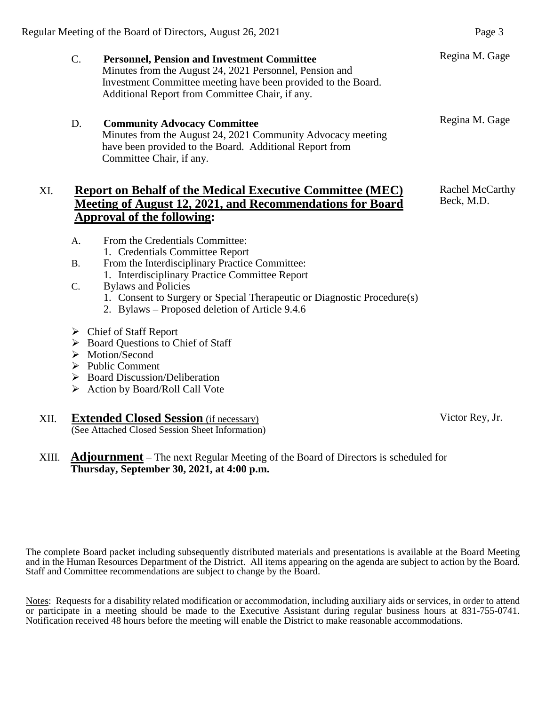| $\mathbf{C}$ . | <b>Personnel, Pension and Investment Committee</b>            | Regina |
|----------------|---------------------------------------------------------------|--------|
|                | Minutes from the August 24, 2021 Personnel, Pension and       |        |
|                | Investment Committee meeting have been provided to the Board. |        |
|                | Additional Report from Committee Chair, if any.               |        |
| D.             | <b>Community Advocacy Committee</b>                           | Regina |
|                | Minutes from the August 24, 2021 Community Advocacy meeting   |        |
|                | have been provided to the Board. Additional Report from       |        |
|                | Committee Chair, if any.                                      |        |

# XI. **Report on Behalf of the Medical Executive Committee (MEC) Meeting of August 12, 2021, and Recommendations for Board Approval of the following:**

- A. From the Credentials Committee:
	- 1. Credentials Committee Report
- B. From the Interdisciplinary Practice Committee: 1. Interdisciplinary Practice Committee Report
- C. Bylaws and Policies
	- 1. Consent to Surgery or Special Therapeutic or Diagnostic Procedure(s)
	- 2. Bylaws Proposed deletion of Article 9.4.6
- Chief of Staff Report
- $\triangleright$  Board Questions to Chief of Staff
- > Motion/Second
- $\triangleright$  Public Comment
- $\triangleright$  Board Discussion/Deliberation
- $\triangleright$  Action by Board/Roll Call Vote

### XII. **Extended Closed Session** (if necessary) (See Attached Closed Session Sheet Information)

## XIII. **Adjournment** – The next Regular Meeting of the Board of Directors is scheduled for **Thursday, September 30, 2021, at 4:00 p.m.**

The complete Board packet including subsequently distributed materials and presentations is available at the Board Meeting and in the Human Resources Department of the District. All items appearing on the agenda are subject to action by the Board. Staff and Committee recommendations are subject to change by the Board.

Notes: Requests for a disability related modification or accommodation, including auxiliary aids or services, in order to attend or participate in a meeting should be made to the Executive Assistant during regular business hours at 831-755-0741. Notification received 48 hours before the meeting will enable the District to make reasonable accommodations.

Victor Rey, Jr.

M. Gage

Rachel McCarthy Beck, M.D.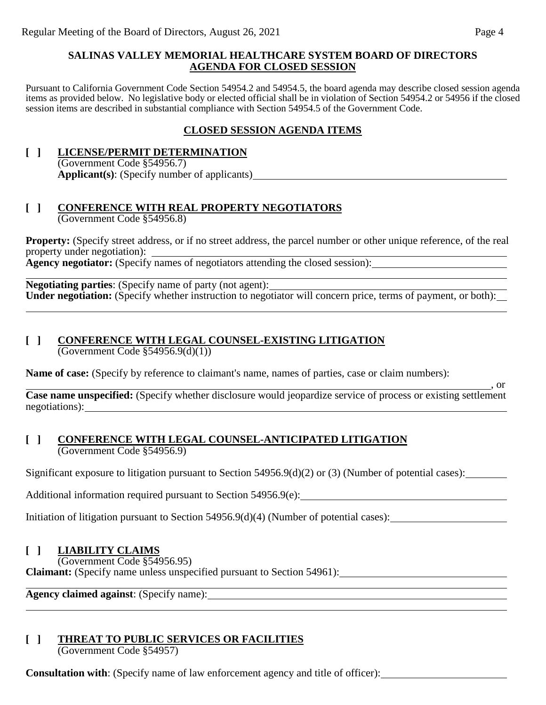### **SALINAS VALLEY MEMORIAL HEALTHCARE SYSTEM BOARD OF DIRECTORS AGENDA FOR CLOSED SESSION**

Pursuant to California Government Code Section 54954.2 and 54954.5, the board agenda may describe closed session agenda items as provided below. No legislative body or elected official shall be in violation of Section 54954.2 or 54956 if the closed session items are described in substantial compliance with Section 54954.5 of the Government Code.

## **CLOSED SESSION AGENDA ITEMS**

**[ ] LICENSE/PERMIT DETERMINATION** (Government Code §54956.7) **Applicant(s)**: (Specify number of applicants)

### **[ ] CONFERENCE WITH REAL PROPERTY NEGOTIATORS** (Government Code §54956.8)

**Property:** (Specify street address, or if no street address, the parcel number or other unique reference, of the real property under negotiation): Agency negotiator: (Specify names of negotiators attending the closed session):

**Negotiating parties**: (Specify name of party (not agent): Under negotiation: (Specify whether instruction to negotiator will concern price, terms of payment, or both):

# **[ ] CONFERENCE WITH LEGAL COUNSEL-EXISTING LITIGATION**

 $\overline{(Government Code §54956.9(d)(1))}$ 

**Name of case:** (Specify by reference to claimant's name, names of parties, case or claim numbers):

**Case name unspecified:** (Specify whether disclosure would jeopardize service of process or existing settlement negotiations):

### **[ ] CONFERENCE WITH LEGAL COUNSEL-ANTICIPATED LITIGATION** (Government Code §54956.9)

Significant exposure to litigation pursuant to Section 54956.9(d)(2) or (3) (Number of potential cases):

Additional information required pursuant to Section 54956.9(e): \_\_\_\_\_\_

Initiation of litigation pursuant to Section 54956.9(d)(4) (Number of potential cases):

## **[ ] LIABILITY CLAIMS**

(Government Code §54956.95)

**Claimant:** (Specify name unless unspecified pursuant to Section 54961):

**Agency claimed against**: (Specify name):

## **[ ] THREAT TO PUBLIC SERVICES OR FACILITIES**

(Government Code §54957)

**Consultation with**: (Specify name of law enforcement agency and title of officer):

, or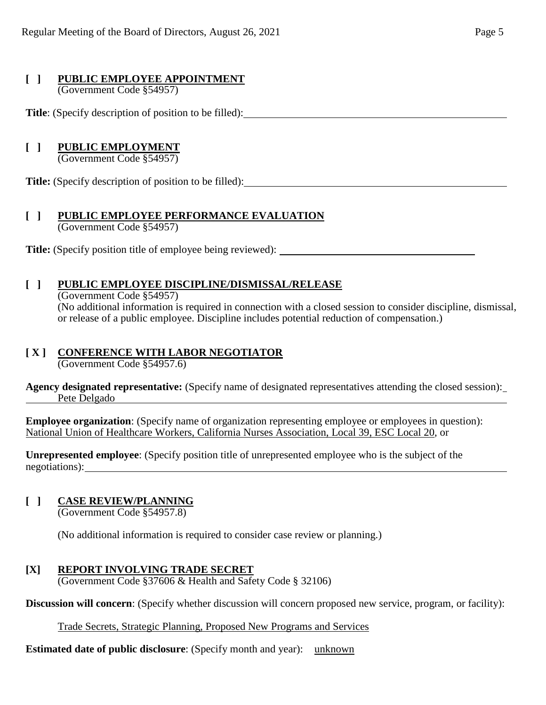# **[ ] PUBLIC EMPLOYEE APPOINTMENT**

(Government Code §54957)

**Title**: (Specify description of position to be filled):

# **[ ] PUBLIC EMPLOYMENT**

(Government Code §54957)

**Title:** (Specify description of position to be filled):

## **[ ] PUBLIC EMPLOYEE PERFORMANCE EVALUATION** (Government Code §54957)

**Title:** (Specify position title of employee being reviewed):

# **[ ] PUBLIC EMPLOYEE DISCIPLINE/DISMISSAL/RELEASE**

(Government Code §54957) (No additional information is required in connection with a closed session to consider discipline, dismissal, or release of a public employee. Discipline includes potential reduction of compensation.)

# **[ X ] CONFERENCE WITH LABOR NEGOTIATOR**

(Government Code §54957.6)

**Agency designated representative:** (Specify name of designated representatives attending the closed session): Pete Delgado

**Employee organization**: (Specify name of organization representing employee or employees in question): National Union of Healthcare Workers, California Nurses Association, Local 39, ESC Local 20, or

**Unrepresented employee**: (Specify position title of unrepresented employee who is the subject of the negotiations):

# **[ ] CASE REVIEW/PLANNING**

(Government Code §54957.8)

(No additional information is required to consider case review or planning.)

# **[X] REPORT INVOLVING TRADE SECRET**

(Government Code §37606 & Health and Safety Code § 32106)

**Discussion will concern**: (Specify whether discussion will concern proposed new service, program, or facility):

Trade Secrets, Strategic Planning, Proposed New Programs and Services

**Estimated date of public disclosure:** (Specify month and year): unknown